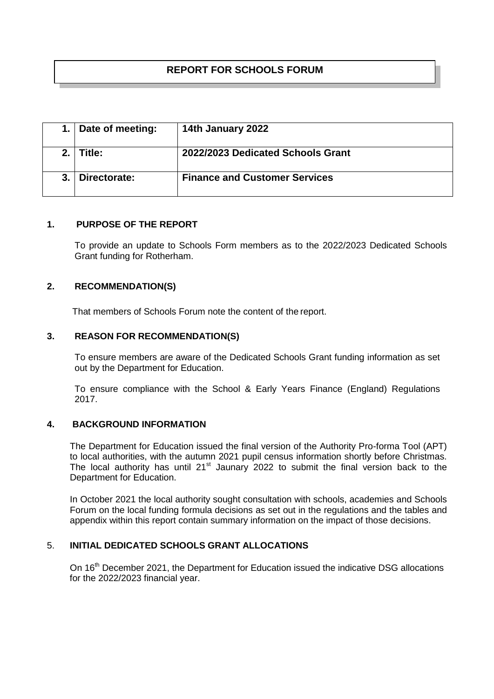# **REPORT FOR SCHOOLS FORUM**

| 1. Date of meeting: | 14th January 2022                    |
|---------------------|--------------------------------------|
| Title:              | 2022/2023 Dedicated Schools Grant    |
| Directorate:        | <b>Finance and Customer Services</b> |

#### **1. PURPOSE OF THE REPORT**

To provide an update to Schools Form members as to the 2022/2023 Dedicated Schools Grant funding for Rotherham.

### **2. RECOMMENDATION(S)**

That members of Schools Forum note the content of the report.

### **3. REASON FOR RECOMMENDATION(S)**

To ensure members are aware of the Dedicated Schools Grant funding information as set out by the Department for Education.

To ensure compliance with the School & Early Years Finance (England) Regulations 2017.

### **4. BACKGROUND INFORMATION**

The Department for Education issued the final version of the Authority Pro-forma Tool (APT) to local authorities, with the autumn 2021 pupil census information shortly before Christmas. The local authority has until  $21<sup>st</sup>$  Jaunary 2022 to submit the final version back to the Department for Education.

In October 2021 the local authority sought consultation with schools, academies and Schools Forum on the local funding formula decisions as set out in the regulations and the tables and appendix within this report contain summary information on the impact of those decisions.

#### 5. **INITIAL DEDICATED SCHOOLS GRANT ALLOCATIONS**

On 16<sup>th</sup> December 2021, the Department for Education issued the indicative DSG allocations for the 2022/2023 financial year.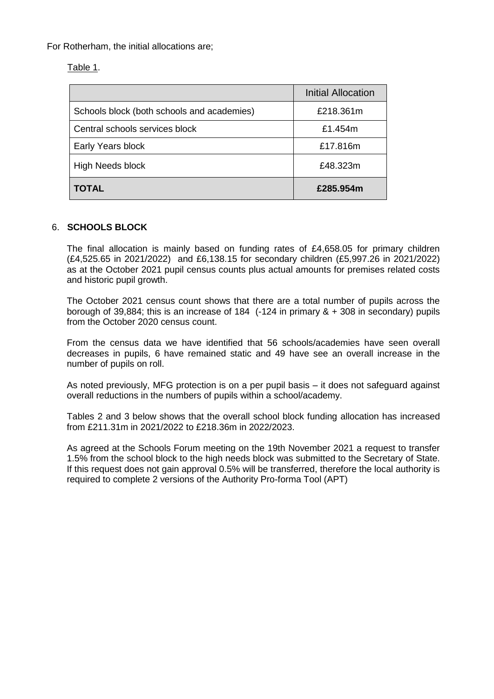For Rotherham, the initial allocations are;

Table 1.

|                                            | <b>Initial Allocation</b> |
|--------------------------------------------|---------------------------|
| Schools block (both schools and academies) | £218.361m                 |
| Central schools services block             | £1.454m                   |
| Early Years block                          | £17.816m                  |
| <b>High Needs block</b>                    | £48.323m                  |
| <b>TOTAL</b>                               | £285.954m                 |

### 6. **SCHOOLS BLOCK**

The final allocation is mainly based on funding rates of £4,658.05 for primary children (£4,525.65 in 2021/2022) and £6,138.15 for secondary children (£5,997.26 in 2021/2022) as at the October 2021 pupil census counts plus actual amounts for premises related costs and historic pupil growth.

The October 2021 census count shows that there are a total number of pupils across the borough of 39,884; this is an increase of 184 (-124 in primary & + 308 in secondary) pupils from the October 2020 census count.

From the census data we have identified that 56 schools/academies have seen overall decreases in pupils, 6 have remained static and 49 have see an overall increase in the number of pupils on roll.

As noted previously, MFG protection is on a per pupil basis – it does not safeguard against overall reductions in the numbers of pupils within a school/academy.

Tables 2 and 3 below shows that the overall school block funding allocation has increased from £211.31m in 2021/2022 to £218.36m in 2022/2023.

As agreed at the Schools Forum meeting on the 19th November 2021 a request to transfer 1.5% from the school block to the high needs block was submitted to the Secretary of State. If this request does not gain approval 0.5% will be transferred, therefore the local authority is required to complete 2 versions of the Authority Pro-forma Tool (APT)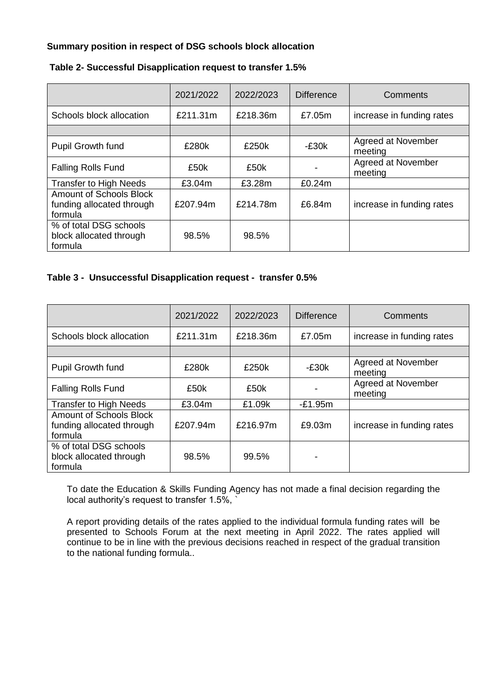## **Summary position in respect of DSG schools block allocation**

|                                                                 | 2021/2022 | 2022/2023 | <b>Difference</b> | Comments                      |
|-----------------------------------------------------------------|-----------|-----------|-------------------|-------------------------------|
| Schools block allocation                                        | £211.31m  | £218.36m  | £7.05m            | increase in funding rates     |
|                                                                 |           |           |                   |                               |
| Pupil Growth fund                                               | £280k     | £250k     | $-E30k$           | Agreed at November<br>meeting |
| <b>Falling Rolls Fund</b>                                       | £50k      | £50k      |                   | Agreed at November<br>meeting |
| <b>Transfer to High Needs</b>                                   | £3.04m    | £3.28m    | £0.24m            |                               |
| Amount of Schools Block<br>funding allocated through<br>formula | £207.94m  | £214.78m  | £6.84m            | increase in funding rates     |
| % of total DSG schools<br>block allocated through<br>formula    | 98.5%     | 98.5%     |                   |                               |

### **Table 2- Successful Disapplication request to transfer 1.5%**

### **Table 3 - Unsuccessful Disapplication request - transfer 0.5%**

|                                                                        | 2021/2022 | 2022/2023 | <b>Difference</b> | Comments                      |
|------------------------------------------------------------------------|-----------|-----------|-------------------|-------------------------------|
| Schools block allocation                                               | £211.31m  | £218.36m  | £7.05m            | increase in funding rates     |
|                                                                        |           |           |                   |                               |
| Pupil Growth fund                                                      | £280k     | £250k     | $-E30k$           | Agreed at November<br>meeting |
| <b>Falling Rolls Fund</b>                                              | £50k      | £50k      |                   | Agreed at November<br>meeting |
| <b>Transfer to High Needs</b>                                          | £3.04m    | £1.09k    | $-E1.95m$         |                               |
| <b>Amount of Schools Block</b><br>funding allocated through<br>formula | £207.94m  | £216.97m  | £9.03m            | increase in funding rates     |
| % of total DSG schools<br>block allocated through<br>formula           | 98.5%     | 99.5%     |                   |                               |

To date the Education & Skills Funding Agency has not made a final decision regarding the local authority's request to transfer 1.5%,

A report providing details of the rates applied to the individual formula funding rates will be presented to Schools Forum at the next meeting in April 2022. The rates applied will continue to be in line with the previous decisions reached in respect of the gradual transition to the national funding formula..